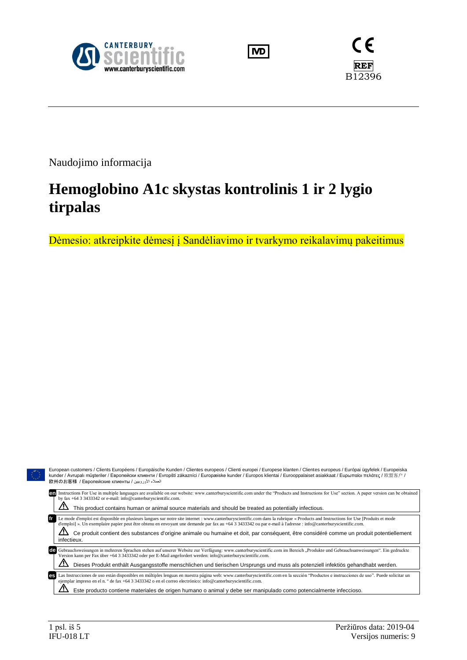





Naudojimo informacija

# **Hemoglobino A1c skystas kontrolinis 1 ir 2 lygio tirpalas**

Dėmesio: atkreipkite dėmesį į Sandėliavimo ir tvarkymo reikalavimų pakeitimus

| European customers / Clients Européens / Europäische Kunden / Clientes europeos / Clienti europei / Europese klanten / Clientes europeus / Európai ügyfelek / Europeiska<br>kunder / Avrupalı müsteriler / Европейски клиенти / Evropští zákazníci / Europæiske kunder / Europos klientai / Eurooppalaiset asiakkaat / Ευρωπαίοι πελάτες / 欧盟客户 /<br>العملاء الأوروبيين / 欧州のお客様 / Европейские клиенты                                                                                                                        |
|-------------------------------------------------------------------------------------------------------------------------------------------------------------------------------------------------------------------------------------------------------------------------------------------------------------------------------------------------------------------------------------------------------------------------------------------------------------------------------------------------------------------------------|
| Instructions For Use in multiple languages are available on our website: www.canterburyscientific.com under the "Products and Instructions for Use" section. A paper version can be obtained<br>en<br>by fax +64 3 3433342 or e-mail: info@canterburyscientific.com.                                                                                                                                                                                                                                                          |
| This product contains human or animal source materials and should be treated as potentially infectious.                                                                                                                                                                                                                                                                                                                                                                                                                       |
| Le mode d'emploi est disponible en plusieurs langues sur notre site internet : www.canterburyscientific.com dans la rubrique « Products and Instructions for Use [Produits et mode<br>d'emploi] ». Un exemplaire papier peut être obtenu en envoyant une demande par fax au +64 3 3433342 ou par e-mail à l'adresse : info@canterburyscientific.com.<br><u>/І\</u><br>Ce produit contient des substances d'origine animale ou humaine et doit, par conséquent, être considéré comme un produit potentiellement<br>infectieux. |
| Gebrauchsweisungen in mehreren Sprachen stehen auf unserer Website zur Verfügung: www.canterburyscientific.com im Bereich "Produkte und Gebrauchsanweisungen". Ein gedruckte<br>de<br>Version kann per Fax über +64 3 3433342 oder per E-Mail angefordert werden: info@canterburyscientific.com.                                                                                                                                                                                                                              |
| Dieses Produkt enthält Ausgangsstoffe menschlichen und tierischen Ursprungs und muss als potenziell infektiös gehandhabt werden.                                                                                                                                                                                                                                                                                                                                                                                              |
| Las Instrucciones de uso están disponibles en múltiples lenguas en nuestra página web: www.canterburyscientific.com en la sección "Productos e instrucciones de uso". Puede solicitar un<br>es<br>ejemplar impreso en el n. $\degree$ de fax +64 3 3433342 o en el correo electrónico: info@canterburyscientific.com.                                                                                                                                                                                                         |
| Este producto contiene materiales de origen humano o animal y debe ser manipulado como potencialmente infeccioso.                                                                                                                                                                                                                                                                                                                                                                                                             |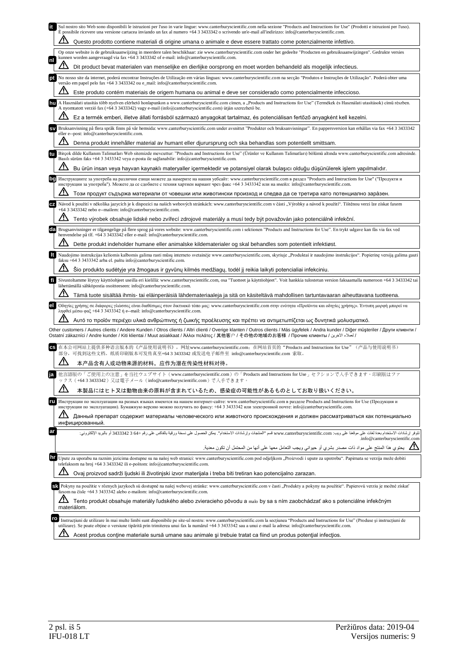| it. | Sul nostro sito Web sono disponibili le istruzioni per l'uso in varie lingue: www.canterburyscientific.com nella sezione "Products and Instructions for Use" (Prodotti e istruzioni per l'uso).<br>È possibile ricevere una versione cartacea inviando un fax al numero +64 3 3433342 o scrivendo un'e-mail all'indirizzo: info@canterburyscientific.com.         |
|-----|-------------------------------------------------------------------------------------------------------------------------------------------------------------------------------------------------------------------------------------------------------------------------------------------------------------------------------------------------------------------|
|     | Questo prodotto contiene materiali di origine umana o animale e deve essere trattato come potenzialmente infettivo.                                                                                                                                                                                                                                               |
| nl  | Op onze website is de gebruiksaanwijzing in meerdere talen beschikbaar: zie www.canterburyscientific.com onder het gedeelte "Producten en gebruiksaanwijzingen". Gedrukte versies<br>kunnen worden aangevraagd via fax +64 3 3433342 of e-mail: info@canterburyscientific.com.                                                                                    |
|     | Dit product bevat materialen van menselijke en dierlijke oorsprong en moet worden behandeld als mogelijk infectieus.                                                                                                                                                                                                                                              |
| pt  | No nosso site da internet, poderá encontrar Instruções de Utilização em várias línguas: www.canterburyscientific.com na secção "Produtos e Instruções de Utilização". Poderá obter uma<br>versão em papel pelo fax +64 3 3433342 ou e_mail: info@canterburyscientific.com.                                                                                        |
|     | Este produto contém materiais de origem humana ou animal e deve ser considerado como potencialmente infeccioso.                                                                                                                                                                                                                                                   |
| hu  | A Használati utasítás több nyelven elérhető honlapunkon a www.canterburyscientific.com címen, a "Products and Instructions for Use" (Termékek és Használati utasítások) című részben.<br>A nyomtatott verzió fax (+64 3 3433342) vagy e-mail (info@canterburyscientific.com) útján szerezhető be.                                                                 |
|     | Ez a termék emberi, illetve állati forrásból származó anyagokat tartalmaz, és potenciálisan fertőző anyagként kell kezelni.                                                                                                                                                                                                                                       |
|     | Bruksanvisning på flera språk finns på vår hemsida: www.canterburyscientific.com under avsnittet "Produkter och bruksanvisningar". En pappersversion kan erhållas via fax +64 3 3433342<br>eller e--post: info@canterburyscientific.com.                                                                                                                          |
|     | Denna produkt innehåller material av humant eller djurursprung och ska behandlas som potentiellt smittsam.                                                                                                                                                                                                                                                        |
| tu  | Birçok dilde Kullanım Talimatları Web sitemizde mevcuttur: "Products and Instructions for Use" (Ürünler ve Kullanım Talimatları) bölümü altında www.canterburyscientific.com adresinde.<br>Basılı sürüm faks +64 3 3433342 veya e-posta ile sağlanabilir: info@canterburyscientific.com.                                                                          |
|     | Bu ürün insan veya hayvan kaynaklı materyaller içermektedir ve potansiyel olarak bulaşıcı olduğu düşünülerek işlem yapılmalıdır.                                                                                                                                                                                                                                  |
|     | Инструкциите за употреба на различни езици можете да намерите на нашия уебсайт: www.canterburyscientific.com в раздел "Products and Instructions for Use" ("Продукти и<br>инструкции за употреба"). Можете да се сдобиете с техния хартиен вариант чрез факс +64 3 3433342 или на имейл: info@canterburyscientific.com.                                           |
|     | Този продукт съдържа материали от човешки или животински произход и следва да се третира като потенциално зара̀зен.                                                                                                                                                                                                                                               |
|     | Návod k použití v několika jazycích je k dispozici na našich webových stránkách: www.canterburyscientific.com v části "Výrobky a návod k použití". Tištěnou verzi lze získat faxem<br>+64 3 3433342 nebo e--mailem: info@canterburyscientific.com.                                                                                                                |
|     | Tento výrobek obsahuje lidské nebo zvířecí zdrojové materiály a musí tedy být považován jako potenciálně infekční.                                                                                                                                                                                                                                                |
| da  | Brugsanvisninger er tilgængelige på flere sprog på vores website: www.canterburyscientific.com i sektionen "Products and Instructions for Use". En trykt udgave kan fås via fax ved<br>henvendelse på tlf. +64 3 3433342 eller e-mail: info@canterburyscientific.com.                                                                                             |
|     | Dette produkt indeholder humane eller animalske kildematerialer og skal behandles som potentielt infektiøst.                                                                                                                                                                                                                                                      |
| It  | Naudojimo instrukcijas keliomis kalbomis galima rasti mūsų interneto svetainėje www.canterburyscientific.com, skyriuje "Produktai ir naudojimo instrukcijos". Popierinę versiją galima gauti<br>faksu +64 3 3433342 arba el. paštu info@canterburyscientific.com.                                                                                                 |
|     | Šio produkto sudėtyje yra žmogaus ir gyvūnų kilmės medžiagų, todėl jį reikia laikyti potencialiai infekciniu.                                                                                                                                                                                                                                                     |
| fi  | Sivustoltamme löytyy käyttöohjeet useilla eri kielillä: www.canterburyscientific.com, osa "Tuotteet ja käyttöohjeet". Voit hankkia tulostetun version faksaamalla numeroon +64 3 3433342 tai<br>lähettämällä sähköpostia osoitteeseen: info@canterburyscientific.com.                                                                                             |
|     | Tämä tuote sisältää ihmis- tai eläinperäisiä lähdemateriaaleja ja sitä on käsiteltävä mahdollisen tartuntavaaran aiheuttavana tuotteena.                                                                                                                                                                                                                          |
|     | Οδηγίες χρήσης σε διάφορες γλώσσες είναι διαθέσιμες στον δικτυακό τόπο μας: www.canterburyscientific.com στην ενότητα «Προϊόντα και οδηγίες χρήσης». Έντυπη μορφή μπορεί να<br>ληφθεί μέσω φαξ +64 3 3433342 ή e--mail: info@canterburyscientific.com.                                                                                                            |
|     | Αυτό το προϊόν περιέχει υλικά ανθρώπινης ή ζωικής προέλευσης και πρέπει να αντιμετωπίζεται ως δυνητικά μολυσματικό.                                                                                                                                                                                                                                               |
|     | Other customers / Autres clients / Andere Kunden / Otros clients / Altri clienti / Overige klanten / Outros clients / Más ügyfelek / Andra kunder / Diğer müşteriler / Други клиенти /<br>الحملاء الآخرين / Ostatní zákazníci / Andre kunder / Kiti klientai / Muut asiakkaat / Άλλοι πελάτες / 其他客户 / その他の地域のお客様 / Прочие клиенты / الحملاء الآخرين              |
|     | 在本公司网站上提供多种语言版本的《产品使用说明书》,网址www.canterburyscientific.com;在网站首页的"Products and Instructions for Use"(产品与使用说明书)<br>部分,可找到这些文档。纸质印刷版本可发传真至+64 3 3433342 或发送电子邮件至 info@canterburyscientific.com 索取。                                                                                                                                                                    |
|     | 本产品含有人或动物来源的材料,应作为潜在传染性材料对待。                                                                                                                                                                                                                                                                                                                                      |
|     | 他言語版の「ご使用上の注意」を当社ウェブサイト (www.canterburyscientific.com)の「Products and Instructions for Use」セクションで入手できます。印刷版はファ<br>ックス (+643343342) 又は電子メール (info@canterburyscientific.com) で入手できます。                                                                                                                                                                                |
|     | 本製品にはヒト又は動物由来の原料が含まれているため、感染症の可能性があるものとしてお取り扱いください。                                                                                                                                                                                                                                                                                                               |
| ru  | Инструкции по эксплуатации на разных языках имеются на нашем интернет-сайте: www.canterburyscientific.com в разделе Products and Instructions for Use (Продукция и<br>инструкции по эксплуатации). Бумажную версию можно получить по факсу: +64 3 3433342 или электронной почте: info@canterburyscientific.com.                                                   |
|     | Данный препарат содержит материалы человеческого или животного происхождения и должен рассматриваться как потенциально<br>инфицированный.                                                                                                                                                                                                                         |
| ar  | تتوفر إرشادات الاستخدام بعدة لغات على موقعنا على ويب: www.canterburyscientific.com قسع "العنتجات وإرشادات الاستخدام". يمكن الحصول على نسخة ورقية بالفاكس على رقم +333342 3 و 3433342 أو بالبريد الإلكتروني:                                                                                                                                                       |
|     | .info@canterburyscientific.com                                                                                                                                                                                                                                                                                                                                    |
| hr  | Upute za uporabu na raznim jezicima dostupne su na našoj web stranici: www.canterburyscientific.com pod odjeljkom "Proizvodi i upute za upotrebu". Papirnata se verzija može dobiti                                                                                                                                                                               |
|     | telefaksom na broj +64 3 3433342 ili e-poštom: info@canterburyscientific.com.<br>Ovaj proizvod sadrži ljudski ili životinjski izvor materijala i treba biti tretiran kao potencijalno zarazan.                                                                                                                                                                    |
|     | SA Pokyny na použitie v rôznych jazykoch sú dostupné na našej webovej stránke: www.canterburyscientific.com v časti "Produkty a pokyny na použitie". Papierovú verziu je možné získať                                                                                                                                                                             |
|     | faxom na čísle +64 3 3433342 alebo e-mailom: info@canterburyscientific.com.<br>Tento produkt obsahuje materiály ľudského alebo zvieracieho pôvodu a malo by sa s ním zaobchádzať ako s potenciálne infekčným                                                                                                                                                      |
|     | materiálom.                                                                                                                                                                                                                                                                                                                                                       |
|     | ro<br>Instrucțiuni de utilizare în mai multe limbi sunt disponibile pe site-ul nostru: www.canterburyscientific.com la secțiunea "Products and Instructions for Use" (Produse și instrucțiuni de<br>utilizare). Se poate obține o versiune tipărită prin trimiterea unui fax la numărul +64 3 3433342 sau a unui e-mail la adresa: info@canterburyscientific.com. |
|     | <u>/!`</u><br>Acest produs contine materiale sursă umane sau animale și trebuie tratat ca fiind un produs potențial infecțios.                                                                                                                                                                                                                                    |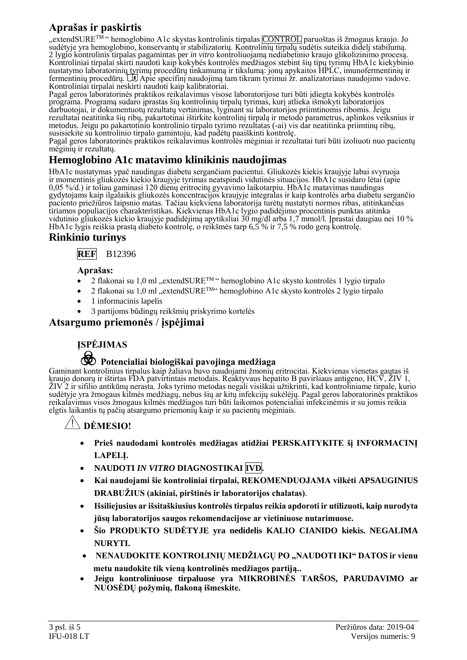# **Aprašas ir paskirtis**

"extendSURE<sup>TM</sup> " hemoglobino A1c skystas kontrolinis tirpalas CONTROL paruoštas iš žmogaus kraujo. Jo sudėtyje yra hemoglobino, konservantų ir stabilizatorių. Kontrolinių tirpalų sudėtis suteikia didelį stabilumą. 2 lygio kontrolinis tirpalas pagamintas per *in vitro* kontroliuojamą nediabetinio kraujo glikolizinimo procesą. Kontroliniai tirpalai skirti naudoti kaip kokybės kontrolės medžiagos stebint šių tipų tyrimų HbA1c kiekybinio nustatymo laboratorinių tyrimų procedūrų tinkamumą ir tikslumą: jonų apykaitos HPLC, imunofermentinių ir<br>fermentinių procedūrų. ŪJ Apie specifinį naudojimą tam tikram tyrimui žr. analizatoriaus naudojimo vadove. Kontroliniai tirpalai neskirti naudoti kaip kalibratoriai.

Pagal geros laboratorinės praktikos reikalavimus visose laboratorijose turi būti įdiegta kokybės kontrolės programa. Programą sudaro įprastas šių kontrolinių tirpalų tyrimas, kurį atlieka išmokyti laboratorijos darbuotojai, ir dokumentuotų rezultatų vertinimas, lyginant su laboratorijos priimtinomis ribomis. Jeigu rezultatai neatitinka šių ribų, pakartotinai ištirkite kontrolinį tirpalą ir metodo parametrus, aplinkos veiksnius ir metodus. Jeigu po pakartotinio kontrolinio tirpalo tyrimo rezultatas (-ai) vis dar neatitinka priimtinų ribų, susisiekite su kontrolinio tirpalo gamintoju, kad padėtų paaiškinti kontrolę.

Pagal geros laboratorinės praktikos reikalavimus kontrolės mėginiai ir rezultatai turi būti izoliuoti nuo pacientų mėginių ir rezultatų.

### **Hemoglobino A1c matavimo klinikinis naudojimas**

HbA1c nustatymas ypač naudingas diabetu sergančiam pacientui. Gliukozės kiekis kraujyje labai svyruoja ir momentinis gliukozės kiekio kraujyje tyrimas neatspindi vidutinės situacijos. HbA1c susidaro lėtai (apie 0,05 %/d.) ir toliau gaminasi 120 dienų eritrocitų gyvavimo laikotarpiu. HbA1c matavimas naudingas gydytojams kaip ilgalaikis gliukozės koncentracijos kraujyje integralas ir kaip kontrolės arba diabetu sergančio paciento priežiūros laipsnio matas. Tačiau kiekviena laboratorija turėtų nustatyti normos ribas, atitinkančias tiriamos populiacijos charakteristikas. Kiekvienas HbA1c lygio padidėjimo procentinis punktas atitinka vidutinio gliukozės kiekio kraujyje padidėjimą apytiksliai 30 mg/dl arba 1,7 mmol/l. Įprastai daugiau nei 10 % HbA1c lygis reiškia prastą diabeto kontrolę, o reikšmės tarp 6,5 % ir 7,5 % rodo gerą kontrolę.

### **Rinkinio turinys**



#### **Aprašas:**

- 2 flakonai su 1,0 ml "extendSURETM " hemoglobino A1c skysto kontrolės 1 lygio tirpalo
- 2 flakonai su 1,0 ml "extendSURE<sup>TM"</sup> hemoglobino A1c skysto kontrolės 2 lygio tirpalo
- 1 informacinis lapelis
- 3 partijoms būdingų reikšmių priskyrimo kortelės

#### **Atsargumo priemonės** / **įspėjimai**

# **ĮSPĖJIMAS**

# F **Potencialiai biologiškai pavojinga medžiaga**

Gaminant kontrolinius tirpalus kaip žaliava buvo naudojami žmonių eritrocitai. Kiekvienas vienetas gautas iš kraujo donorų ir ištirtas FDA patvirtintais metodais. Reaktyvaus hepatito B paviršiaus antigeno, HCV, ŽIV 1, ŽIV 2 ir sifilio antikūnų nerasta. Joks tyrimo metodas negali visiškai užtikrinti, kad kontroliniame tirpale, kurio sudėtyje yra žmogaus kilmės medžiagų, nebus šių ar kitų infekcijų sukėlėjų. Pagal geros laboratorinės praktikos reikalavimus visos žmogaus kilmės medžiagos turi būti laikomos potencialiai infekcinėmis ir su jomis reikia elgtis laikantis tų pačių atsargumo priemonių kaip ir su pacientų mėginiais.

#### **\ DĖMESIO!**

- **Prieš naudodami kontrolės medžiagas atidžiai PERSKAITYKITE šį INFORMACINĮ LAPELĮ.**
- **NAUDOTI** *IN VITRO* **DIAGNOSTIKAI IVD.**
- **Kai naudojami šie kontroliniai tirpalai, REKOMENDUOJAMA vilkėti APSAUGINIUS DRABUŽIUS (akiniai, pirštinės ir laboratorijos chalatas)***.*
- **Išsiliejusius ar išsitaškiusius kontrolės tirpalus reikia apdoroti ir utilizuoti, kaip nurodyta jūsų laboratorijos saugos rekomendacijose ar vietiniuose nutarimuose.**
- **Šio PRODUKTO SUDĖTYJE yra nedidelis KALIO CIANIDO kiekis. NEGALIMA NURYTI.**
- **NENAUDOKITE KONTROLINIŲ MEDŽIAGŲ PO "NAUDOTI IKI" DATOS ir vienu metu naudokite tik vieną kontrolinės medžiagos partiją..**
- **Jeigu kontroliniuose tirpaluose yra MIKROBINĖS TARŠOS, PARUDAVIMO ar NUOSĖDŲ požymių, flakoną išmeskite.**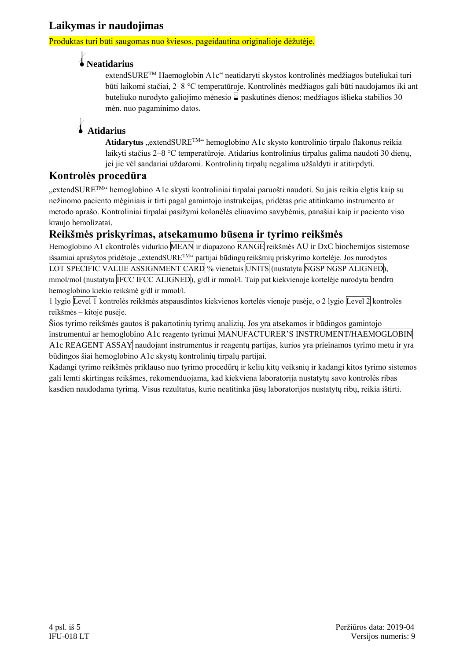### **Laikymas ir naudojimas**

Produktas turi būti saugomas nuo šviesos, pageidautina originalioje dėžutėje.

# l**Neatidarius**

extendSURETM Haemoglobin A1c" neatidaryti skystos kontrolinės medžiagos buteliukai turi būti laikomi stačiai, 2–8 °C temperatūroje. Kontrolinės medžiagos gali būti naudojamos iki ant buteliuko nurodyto galiojimo mėnesio  $\leq$  paskutinės dienos; medžiagos išlieka stabilios 30 mėn. nuo pagaminimo datos.

# l **Atidarius**

Atidarytus "extendSURE<sup>TM</sup>" hemoglobino A1c skysto kontrolinio tirpalo flakonus reikia laikyti stačius 2–8 °C temperatūroje. Atidarius kontrolinius tirpalus galima naudoti 30 dienų, jei jie vėl sandariai uždaromi. Kontrolinių tirpalų negalima užšaldyti ir atitirpdyti.

### **Kontrolės procedūra**

"extendSURE<sup>TM</sup>" hemoglobino A1c skysti kontroliniai tirpalai paruošti naudoti. Su jais reikia elgtis kaip su nežinomo paciento mėginiais ir tirti pagal gamintojo instrukcijas, pridėtas prie atitinkamo instrumento ar metodo aprašo. Kontroliniai tirpalai pasižymi kolonėlės eliuavimo savybėmis, panašiai kaip ir paciento viso kraujo hemolizatai.

## **Reikšmės priskyrimas, atsekamumo būsena ir tyrimo reikšmės**

Hemoglobino A1 ckontrolės vidurkio MEAN ir diapazono RANGE reikšmės AU ir DxC biochemijos sistemose išsamiai aprašytos pridėtoje "extendSURE<sup>TM</sup>" partijai būdingų reikšmių priskyrimo kortelėje. Jos nurodytos LOT SPECIFIC VALUE ASSIGNMENT CARD % vienetais UNITS (nustatyta NGSP NGSP ALIGNED), mmol/mol (nustatyta IFCC IFCC ALIGNED), g/dl ir mmol/l. Taip pat kiekvienoje kortelėje nurodyta bendro hemoglobino kiekio reikšmė g/dl ir mmol/l.

1 lygio Level 1 kontrolės reikšmės atspausdintos kiekvienos kortelės vienoje pusėje, o 2 lygio Level 2 kontrolės reikšmės – kitoje pusėje.

Šios tyrimo reikšmės gautos iš pakartotinių tyrimų analizių. Jos yra atsekamos ir būdingos gamintojo instrumentui ar hemoglobino A1c reagento tyrimui MANUFACTURER'S INSTRUMENT/HAEMOGLOBIN A1c REAGENT ASSAY naudojant instrumentus ir reagentų partijas, kurios yra prieinamos tyrimo metu ir yra

būdingos šiai hemoglobino A1c skystų kontrolinių tirpalų partijai. Kadangi tyrimo reikšmės priklauso nuo tyrimo procedūrų ir kelių kitų veiksnių ir kadangi kitos tyrimo sistemos gali lemti skirtingas reikšmes, rekomenduojama, kad kiekviena laboratorija nustatytų savo kontrolės ribas kasdien naudodama tyrimą. Visus rezultatus, kurie neatitinka jūsų laboratorijos nustatytų ribų, reikia ištirti.